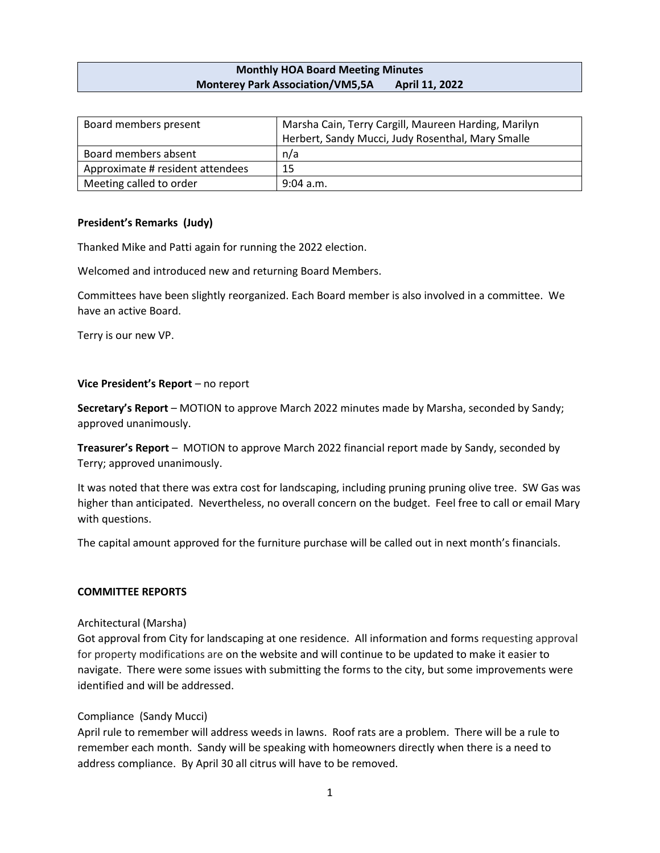## **Monthly HOA Board Meeting Minutes Monterey Park Association/VM5,5A April 11, 2022**

| Board members present            | Marsha Cain, Terry Cargill, Maureen Harding, Marilyn |
|----------------------------------|------------------------------------------------------|
|                                  | Herbert, Sandy Mucci, Judy Rosenthal, Mary Smalle    |
| Board members absent             | n/a                                                  |
| Approximate # resident attendees | 15                                                   |
| Meeting called to order          | $9:04$ a.m.                                          |

## **President's Remarks (Judy)**

Thanked Mike and Patti again for running the 2022 election.

Welcomed and introduced new and returning Board Members.

Committees have been slightly reorganized. Each Board member is also involved in a committee. We have an active Board.

Terry is our new VP.

#### **Vice President's Report** – no report

**Secretary's Report** – MOTION to approve March 2022 minutes made by Marsha, seconded by Sandy; approved unanimously.

**Treasurer's Report** – MOTION to approve March 2022 financial report made by Sandy, seconded by Terry; approved unanimously.

It was noted that there was extra cost for landscaping, including pruning pruning olive tree. SW Gas was higher than anticipated. Nevertheless, no overall concern on the budget. Feel free to call or email Mary with questions.

The capital amount approved for the furniture purchase will be called out in next month's financials.

### **COMMITTEE REPORTS**

### Architectural (Marsha)

Got approval from City for landscaping at one residence. All information and forms requesting approval for property modifications are on the website and will continue to be updated to make it easier to navigate. There were some issues with submitting the forms to the city, but some improvements were identified and will be addressed.

### Compliance (Sandy Mucci)

April rule to remember will address weeds in lawns. Roof rats are a problem. There will be a rule to remember each month. Sandy will be speaking with homeowners directly when there is a need to address compliance. By April 30 all citrus will have to be removed.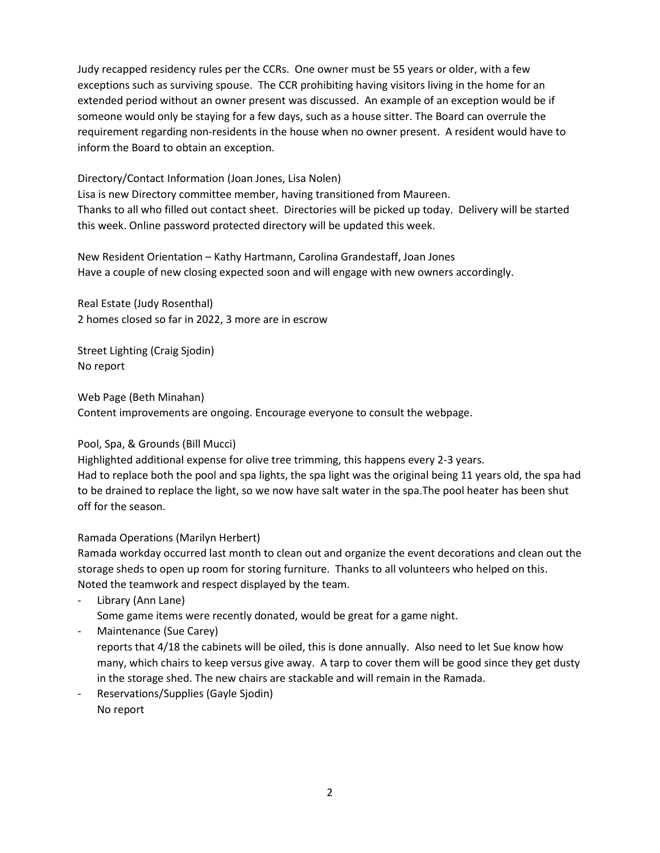Judy recapped residency rules per the CCRs. One owner must be 55 years or older, with a few exceptions such as surviving spouse. The CCR prohibiting having visitors living in the home for an extended period without an owner present was discussed. An example of an exception would be if someone would only be staying for a few days, such as a house sitter. The Board can overrule the requirement regarding non-residents in the house when no owner present. A resident would have to inform the Board to obtain an exception.

## Directory/Contact Information (Joan Jones, Lisa Nolen)

Lisa is new Directory committee member, having transitioned from Maureen. Thanks to all who filled out contact sheet. Directories will be picked up today. Delivery will be started this week. Online password protected directory will be updated this week.

New Resident Orientation – Kathy Hartmann, Carolina Grandestaff, Joan Jones Have a couple of new closing expected soon and will engage with new owners accordingly.

Real Estate (Judy Rosenthal) 2 homes closed so far in 2022, 3 more are in escrow

Street Lighting (Craig Sjodin) No report

Web Page (Beth Minahan) Content improvements are ongoing. Encourage everyone to consult the webpage.

# Pool, Spa, & Grounds (Bill Mucci)

Highlighted additional expense for olive tree trimming, this happens every 2-3 years. Had to replace both the pool and spa lights, the spa light was the original being 11 years old, the spa had to be drained to replace the light, so we now have salt water in the spa.The pool heater has been shut off for the season.

# Ramada Operations (Marilyn Herbert)

Ramada workday occurred last month to clean out and organize the event decorations and clean out the storage sheds to open up room for storing furniture. Thanks to all volunteers who helped on this. Noted the teamwork and respect displayed by the team.

- Library (Ann Lane) Some game items were recently donated, would be great for a game night.
- Maintenance (Sue Carey)

reports that 4/18 the cabinets will be oiled, this is done annually. Also need to let Sue know how many, which chairs to keep versus give away. A tarp to cover them will be good since they get dusty in the storage shed. The new chairs are stackable and will remain in the Ramada.

Reservations/Supplies (Gayle Sjodin) No report